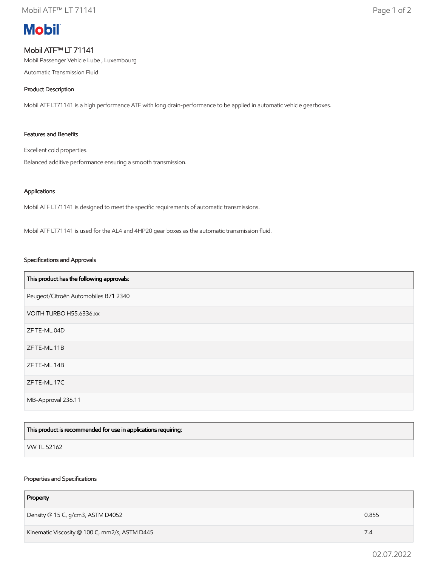# **Mobil**

## Mobil ATF™ LT 71141

Mobil Passenger Vehicle Lube , Luxembourg

Automatic Transmission Fluid

### Product Description

Mobil ATF LT71141 is a high performance ATF with long drain-performance to be applied in automatic vehicle gearboxes.

#### Features and Benefits

Excellent cold properties.

Balanced additive performance ensuring a smooth transmission.

#### Applications

Mobil ATF LT71141 is designed to meet the specific requirements of automatic transmissions.

Mobil ATF LT71141 is used for the AL4 and 4HP20 gear boxes as the automatic transmission fluid.

#### Specifications and Approvals

| This product has the following approvals: |
|-------------------------------------------|
| Peugeot/Citroën Automobiles B71 2340      |
| VOITH TURBO H55.6336.xx                   |
| ZF TE-ML 04D                              |
| ZF TE-ML 11B                              |
| ZF TE-ML 14B                              |
| ZF TE-ML 17C                              |
| MB-Approval 236.11                        |

| This product is recommended for use in applications requiring: |  |
|----------------------------------------------------------------|--|
| VW TL 52162                                                    |  |

#### Properties and Specifications

| Property                                      |       |
|-----------------------------------------------|-------|
| Density @ 15 C, g/cm3, ASTM D4052             | 0.855 |
| Kinematic Viscosity @ 100 C, mm2/s, ASTM D445 | 7.4   |